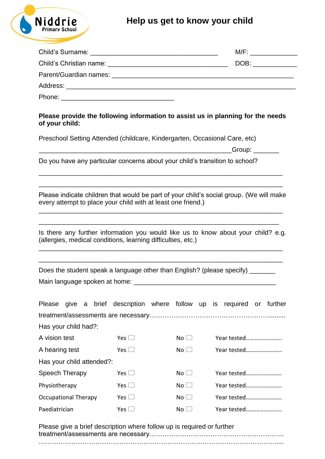## **Help us get to know your child**



|                                                                                     | M/F: __________________ |
|-------------------------------------------------------------------------------------|-------------------------|
|                                                                                     | DOB: _____________      |
|                                                                                     |                         |
|                                                                                     |                         |
|                                                                                     |                         |
| Dhaaca waxaalda tha fallacabaa bafaanaatkan ta goobat ee ba ulaaabaa faa tha waxaba |                         |

## **Please provide the following information to assist us in planning for the needs of your child:**

Preschool Setting Attended (childcare, Kindergarten, Occasional Care, etc)

 $-$  Group:  $-$ 

Do you have any particular concerns about your child's transition to school?

Please indicate children that would be part of your child's social group. (We will make every attempt to place your child with at least one friend.) \_\_\_\_\_\_\_\_\_\_\_\_\_\_\_\_\_\_\_\_\_\_\_\_\_\_\_\_\_\_\_\_\_\_\_\_\_\_\_\_\_\_\_\_\_\_\_\_\_\_\_\_\_\_\_\_\_\_\_\_\_\_\_\_\_\_\_

\_\_\_\_\_\_\_\_\_\_\_\_\_\_\_\_\_\_\_\_\_\_\_\_\_\_\_\_\_\_\_\_\_\_\_\_\_\_\_\_\_\_\_\_\_\_\_\_\_\_\_\_\_\_\_\_\_\_\_\_\_\_\_\_\_\_\_

\_\_\_\_\_\_\_\_\_\_\_\_\_\_\_\_\_\_\_\_\_\_\_\_\_\_\_\_\_\_\_\_\_\_\_\_\_\_\_\_\_\_\_\_\_\_\_\_\_\_\_\_\_\_\_\_\_\_\_\_\_\_\_\_\_\_\_

Is there any further information you would like us to know about your child? e.g. (allergies, medical conditions, learning difficulties, etc.)

\_\_\_\_\_\_\_\_\_\_\_\_\_\_\_\_\_\_\_\_\_\_\_\_\_\_\_\_\_\_\_\_\_\_\_\_\_\_\_\_\_\_\_\_\_\_\_\_\_\_\_\_\_\_\_\_\_\_\_\_\_\_\_\_\_\_\_

\_\_\_\_\_\_\_\_\_\_\_\_\_\_\_\_\_\_\_\_\_\_\_\_\_\_\_\_\_\_\_\_\_\_\_\_\_\_\_\_\_\_\_\_\_\_\_\_\_\_\_\_\_\_\_\_\_\_\_\_\_\_\_\_\_\_\_

\_\_\_\_\_\_\_\_\_\_\_\_\_\_\_\_\_\_\_\_\_\_\_\_\_\_\_\_\_\_\_\_\_\_\_\_\_\_\_\_\_\_\_\_\_\_\_\_\_\_\_\_\_\_\_\_\_\_\_\_\_\_\_\_\_\_

|                               | Does the student speak a language other than English? (please specify) _ |
|-------------------------------|--------------------------------------------------------------------------|
| Main language spoken at home: |                                                                          |

|                             |  |  |            | Please give a brief description where follow up is required or further |  |             |             |  |  |  |  |
|-----------------------------|--|--|------------|------------------------------------------------------------------------|--|-------------|-------------|--|--|--|--|
|                             |  |  |            |                                                                        |  |             |             |  |  |  |  |
| Has your child had?:        |  |  |            |                                                                        |  |             |             |  |  |  |  |
| A vision test               |  |  | Yes $\Box$ | No <sub>1</sub>                                                        |  | Year tested |             |  |  |  |  |
| A hearing test              |  |  | Yes $\Box$ | No <sub>1</sub>                                                        |  | Year tested |             |  |  |  |  |
| Has your child attended?:   |  |  |            |                                                                        |  |             |             |  |  |  |  |
| Speech Therapy              |  |  | Yes $\Box$ | $No$ $\Box$                                                            |  |             | Year tested |  |  |  |  |
| Physiotherapy               |  |  | Yes $\Box$ | Year tested<br>$No$ $\Box$                                             |  |             |             |  |  |  |  |
| <b>Occupational Therapy</b> |  |  | Yes $\Box$ | Year tested<br>No <sub>1</sub>                                         |  |             |             |  |  |  |  |
| Paediatrician               |  |  | Yes $\Box$ | No <sub>1</sub>                                                        |  | Year tested |             |  |  |  |  |

Please give a brief description where follow up is required or further treatment/assessments are necessary…………………………………………………….. ……………………………………………………………………………………………….....